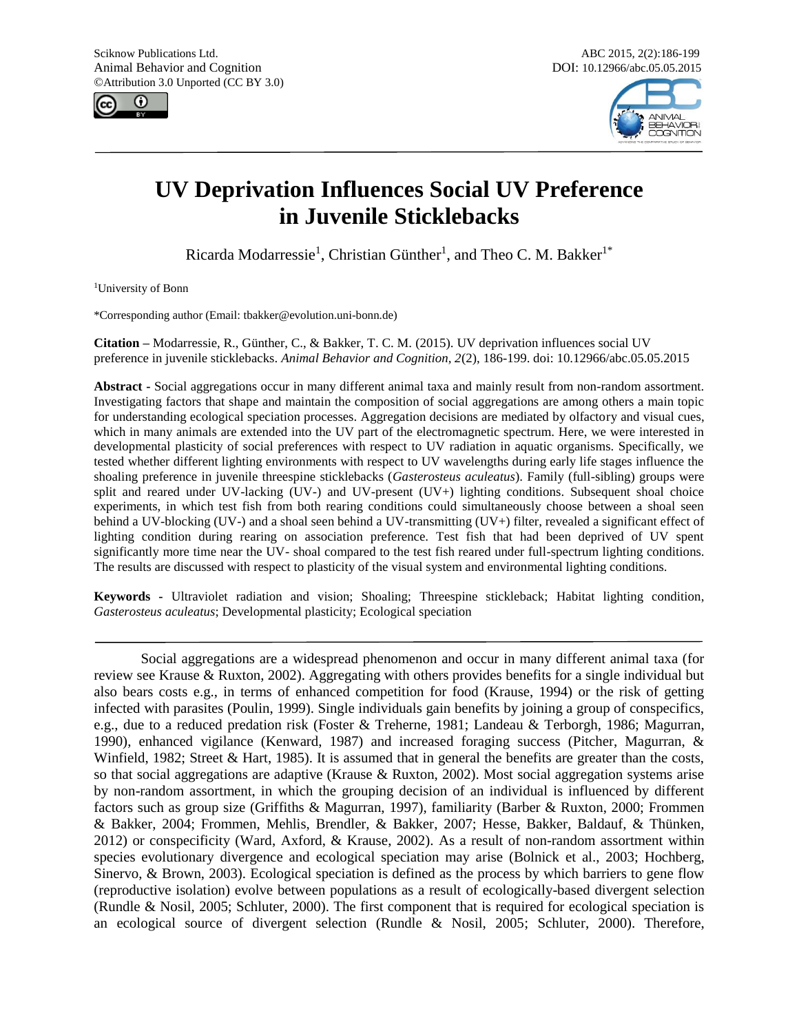



# **UV Deprivation Influences Social UV Preference in Juvenile Sticklebacks**

Ricarda Modarressie<sup>1</sup>, Christian Günther<sup>1</sup>, and Theo C. M. Bakker<sup>1\*</sup>

<sup>1</sup>University of Bonn

\*Corresponding author (Email: tbakker@evolution.uni-bonn.de)

**Citation –** Modarressie, R., Günther, C., & Bakker, T. C. M. (2015). UV deprivation influences social UV preference in juvenile sticklebacks. *Animal Behavior and Cognition, 2*(2), 186-199. doi: 10.12966/abc.05.05.2015

**Abstract -** Social aggregations occur in many different animal taxa and mainly result from non-random assortment. Investigating factors that shape and maintain the composition of social aggregations are among others a main topic for understanding ecological speciation processes. Aggregation decisions are mediated by olfactory and visual cues, which in many animals are extended into the UV part of the electromagnetic spectrum. Here, we were interested in developmental plasticity of social preferences with respect to UV radiation in aquatic organisms. Specifically, we tested whether different lighting environments with respect to UV wavelengths during early life stages influence the shoaling preference in juvenile threespine sticklebacks (*Gasterosteus aculeatus*). Family (full-sibling) groups were split and reared under UV-lacking (UV-) and UV-present (UV+) lighting conditions. Subsequent shoal choice experiments, in which test fish from both rearing conditions could simultaneously choose between a shoal seen behind a UV-blocking (UV-) and a shoal seen behind a UV-transmitting (UV+) filter, revealed a significant effect of lighting condition during rearing on association preference. Test fish that had been deprived of UV spent significantly more time near the UV- shoal compared to the test fish reared under full-spectrum lighting conditions. The results are discussed with respect to plasticity of the visual system and environmental lighting conditions.

**Keywords -** Ultraviolet radiation and vision; Shoaling; Threespine stickleback; Habitat lighting condition, *Gasterosteus aculeatus*; Developmental plasticity; Ecological speciation

Social aggregations are a widespread phenomenon and occur in many different animal taxa (for review see Krause & Ruxton, 2002). Aggregating with others provides benefits for a single individual but also bears costs e.g., in terms of enhanced competition for food (Krause, 1994) or the risk of getting infected with parasites (Poulin, 1999). Single individuals gain benefits by joining a group of conspecifics, e.g., due to a reduced predation risk (Foster & Treherne, 1981; Landeau & Terborgh, 1986; Magurran, 1990), enhanced vigilance (Kenward, 1987) and increased foraging success (Pitcher, Magurran, & Winfield, 1982; Street & Hart, 1985). It is assumed that in general the benefits are greater than the costs, so that social aggregations are adaptive (Krause & Ruxton, 2002). Most social aggregation systems arise by non-random assortment, in which the grouping decision of an individual is influenced by different factors such as group size (Griffiths & Magurran, 1997), familiarity (Barber & Ruxton, 2000; Frommen & Bakker, 2004; Frommen, Mehlis, Brendler, & Bakker, 2007; Hesse, Bakker, Baldauf, & Thünken, 2012) or conspecificity (Ward, Axford, & Krause, 2002). As a result of non-random assortment within species evolutionary divergence and ecological speciation may arise (Bolnick et al., 2003; Hochberg, Sinervo, & Brown, 2003). Ecological speciation is defined as the process by which barriers to gene flow (reproductive isolation) evolve between populations as a result of ecologically-based divergent selection (Rundle & Nosil, 2005; Schluter, 2000). The first component that is required for ecological speciation is an ecological source of divergent selection (Rundle & Nosil, 2005; Schluter, 2000). Therefore,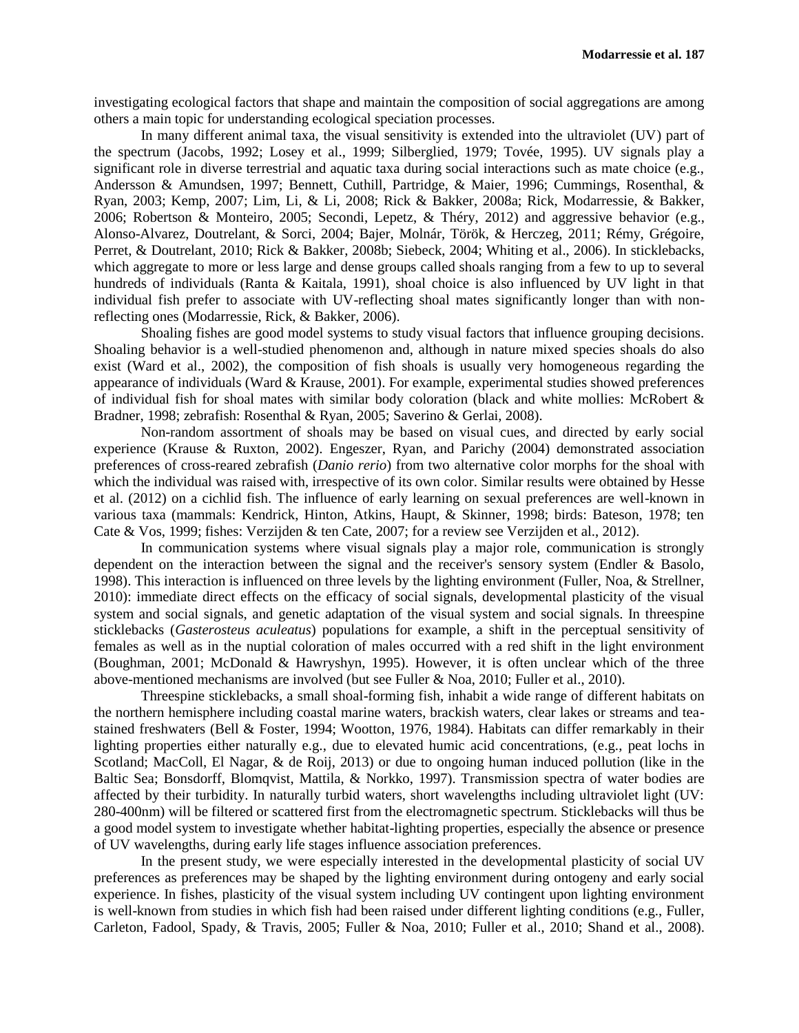investigating ecological factors that shape and maintain the composition of social aggregations are among others a main topic for understanding ecological speciation processes.

In many different animal taxa, the visual sensitivity is extended into the ultraviolet (UV) part of the spectrum (Jacobs, 1992; Losey et al., 1999; Silberglied, 1979; Tovée, 1995). UV signals play a significant role in diverse terrestrial and aquatic taxa during social interactions such as mate choice (e.g., Andersson & Amundsen, 1997; Bennett, Cuthill, Partridge, & Maier, 1996; Cummings, Rosenthal, & Ryan, 2003; Kemp, 2007; Lim, Li, & Li, 2008; Rick & Bakker, 2008a; Rick, Modarressie, & Bakker, 2006; Robertson & Monteiro, 2005; Secondi, Lepetz, & Théry, 2012) and aggressive behavior (e.g., Alonso-Alvarez, Doutrelant, & Sorci, 2004; Bajer, Molnár, Török, & Herczeg, 2011; Rémy, Grégoire, Perret, & Doutrelant, 2010; Rick & Bakker, 2008b; Siebeck, 2004; Whiting et al., 2006). In sticklebacks, which aggregate to more or less large and dense groups called shoals ranging from a few to up to several hundreds of individuals (Ranta & Kaitala, 1991), shoal choice is also influenced by UV light in that individual fish prefer to associate with UV-reflecting shoal mates significantly longer than with nonreflecting ones (Modarressie, Rick, & Bakker, 2006).

Shoaling fishes are good model systems to study visual factors that influence grouping decisions. Shoaling behavior is a well-studied phenomenon and, although in nature mixed species shoals do also exist (Ward et al., 2002), the composition of fish shoals is usually very homogeneous regarding the appearance of individuals (Ward & Krause, 2001). For example, experimental studies showed preferences of individual fish for shoal mates with similar body coloration (black and white mollies: McRobert & Bradner, 1998; zebrafish: Rosenthal & Ryan, 2005; Saverino & Gerlai, 2008).

Non-random assortment of shoals may be based on visual cues, and directed by early social experience (Krause & Ruxton, 2002). Engeszer, Ryan, and Parichy (2004) demonstrated association preferences of cross-reared zebrafish (*Danio rerio*) from two alternative color morphs for the shoal with which the individual was raised with, irrespective of its own color. Similar results were obtained by Hesse et al. (2012) on a cichlid fish. The influence of early learning on sexual preferences are well-known in various taxa (mammals: Kendrick, Hinton, Atkins, Haupt, & Skinner, 1998; birds: Bateson, 1978; ten Cate & Vos, 1999; fishes: Verzijden & ten Cate, 2007; for a review see Verzijden et al., 2012).

In communication systems where visual signals play a major role, communication is strongly dependent on the interaction between the signal and the receiver's sensory system (Endler & Basolo, 1998). This interaction is influenced on three levels by the lighting environment (Fuller, Noa, & Strellner, 2010): immediate direct effects on the efficacy of social signals, developmental plasticity of the visual system and social signals, and genetic adaptation of the visual system and social signals. In threespine sticklebacks (*Gasterosteus aculeatus*) populations for example, a shift in the perceptual sensitivity of females as well as in the nuptial coloration of males occurred with a red shift in the light environment (Boughman, 2001; McDonald & Hawryshyn, 1995). However, it is often unclear which of the three above-mentioned mechanisms are involved (but see Fuller & Noa, 2010; Fuller et al., 2010).

Threespine sticklebacks, a small shoal-forming fish, inhabit a wide range of different habitats on the northern hemisphere including coastal marine waters, brackish waters, clear lakes or streams and teastained freshwaters (Bell & Foster, 1994; Wootton, 1976, 1984). Habitats can differ remarkably in their lighting properties either naturally e.g., due to elevated humic acid concentrations, (e.g., peat lochs in Scotland; MacColl, El Nagar, & de Roij, 2013) or due to ongoing human induced pollution (like in the Baltic Sea; Bonsdorff, Blomqvist, Mattila, & Norkko, 1997). Transmission spectra of water bodies are affected by their turbidity. In naturally turbid waters, short wavelengths including ultraviolet light (UV: 280-400nm) will be filtered or scattered first from the electromagnetic spectrum. Sticklebacks will thus be a good model system to investigate whether habitat-lighting properties, especially the absence or presence of UV wavelengths, during early life stages influence association preferences.

In the present study, we were especially interested in the developmental plasticity of social UV preferences as preferences may be shaped by the lighting environment during ontogeny and early social experience. In fishes, plasticity of the visual system including UV contingent upon lighting environment is well-known from studies in which fish had been raised under different lighting conditions (e.g., Fuller, Carleton, Fadool, Spady, & Travis, 2005; Fuller & Noa, 2010; Fuller et al., 2010; Shand et al., 2008).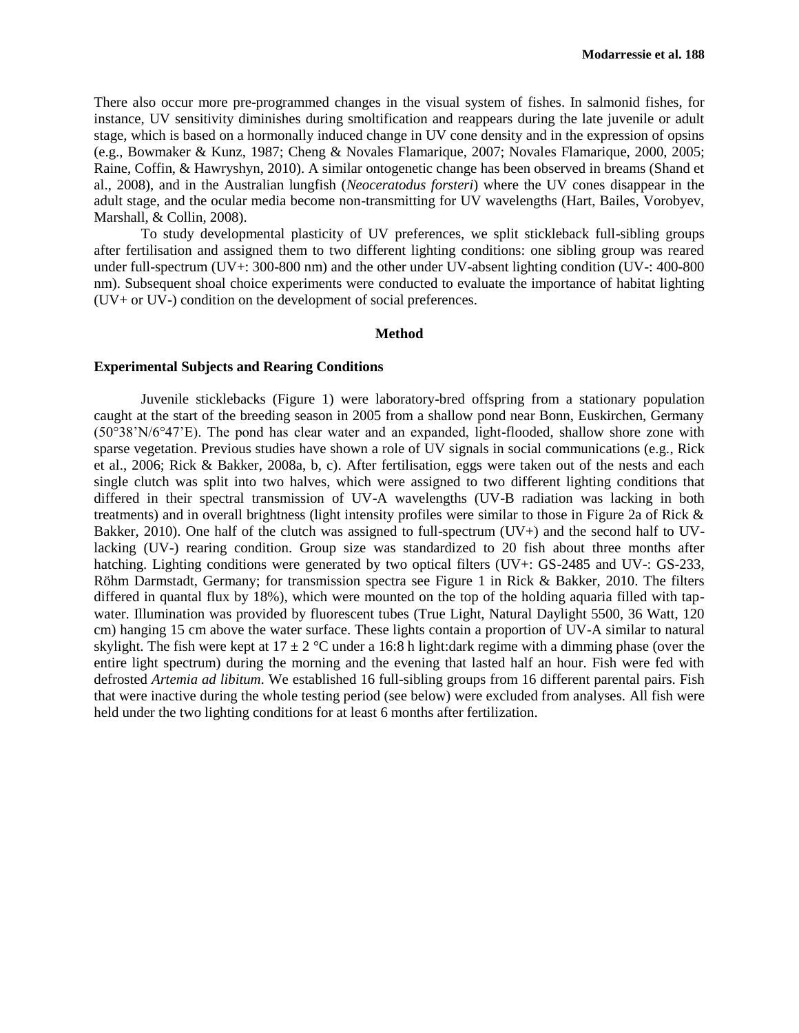There also occur more pre-programmed changes in the visual system of fishes. In salmonid fishes, for instance, UV sensitivity diminishes during smoltification and reappears during the late juvenile or adult stage, which is based on a hormonally induced change in UV cone density and in the expression of opsins (e.g., Bowmaker & Kunz, 1987; Cheng & Novales Flamarique, 2007; Novales Flamarique, 2000, 2005; Raine, Coffin, & Hawryshyn, 2010). A similar ontogenetic change has been observed in breams (Shand et al., 2008), and in the Australian lungfish (*Neoceratodus forsteri*) where the UV cones disappear in the adult stage, and the ocular media become non-transmitting for UV wavelengths (Hart, Bailes, Vorobyev, Marshall, & Collin, 2008).

To study developmental plasticity of UV preferences, we split stickleback full-sibling groups after fertilisation and assigned them to two different lighting conditions: one sibling group was reared under full-spectrum (UV+: 300-800 nm) and the other under UV-absent lighting condition (UV-: 400-800 nm). Subsequent shoal choice experiments were conducted to evaluate the importance of habitat lighting (UV+ or UV-) condition on the development of social preferences.

#### **Method**

## **Experimental Subjects and Rearing Conditions**

Juvenile sticklebacks (Figure 1) were laboratory-bred offspring from a stationary population caught at the start of the breeding season in 2005 from a shallow pond near Bonn, Euskirchen, Germany (50°38'N/6°47'E). The pond has clear water and an expanded, light-flooded, shallow shore zone with sparse vegetation. Previous studies have shown a role of UV signals in social communications (e.g., Rick et al., 2006; Rick & Bakker, 2008a, b, c). After fertilisation, eggs were taken out of the nests and each single clutch was split into two halves, which were assigned to two different lighting conditions that differed in their spectral transmission of UV-A wavelengths (UV-B radiation was lacking in both treatments) and in overall brightness (light intensity profiles were similar to those in Figure 2a of Rick & Bakker, 2010). One half of the clutch was assigned to full-spectrum (UV+) and the second half to UVlacking (UV-) rearing condition. Group size was standardized to 20 fish about three months after hatching. Lighting conditions were generated by two optical filters (UV+: GS-2485 and UV-: GS-233, Röhm Darmstadt, Germany; for transmission spectra see Figure 1 in Rick & Bakker, 2010. The filters differed in quantal flux by 18%), which were mounted on the top of the holding aquaria filled with tapwater. Illumination was provided by fluorescent tubes (True Light, Natural Daylight 5500, 36 Watt, 120 cm) hanging 15 cm above the water surface. These lights contain a proportion of UV-A similar to natural skylight. The fish were kept at  $17 \pm 2$  °C under a 16:8 h light:dark regime with a dimming phase (over the entire light spectrum) during the morning and the evening that lasted half an hour. Fish were fed with defrosted *Artemia ad libitum*. We established 16 full-sibling groups from 16 different parental pairs. Fish that were inactive during the whole testing period (see below) were excluded from analyses. All fish were held under the two lighting conditions for at least 6 months after fertilization.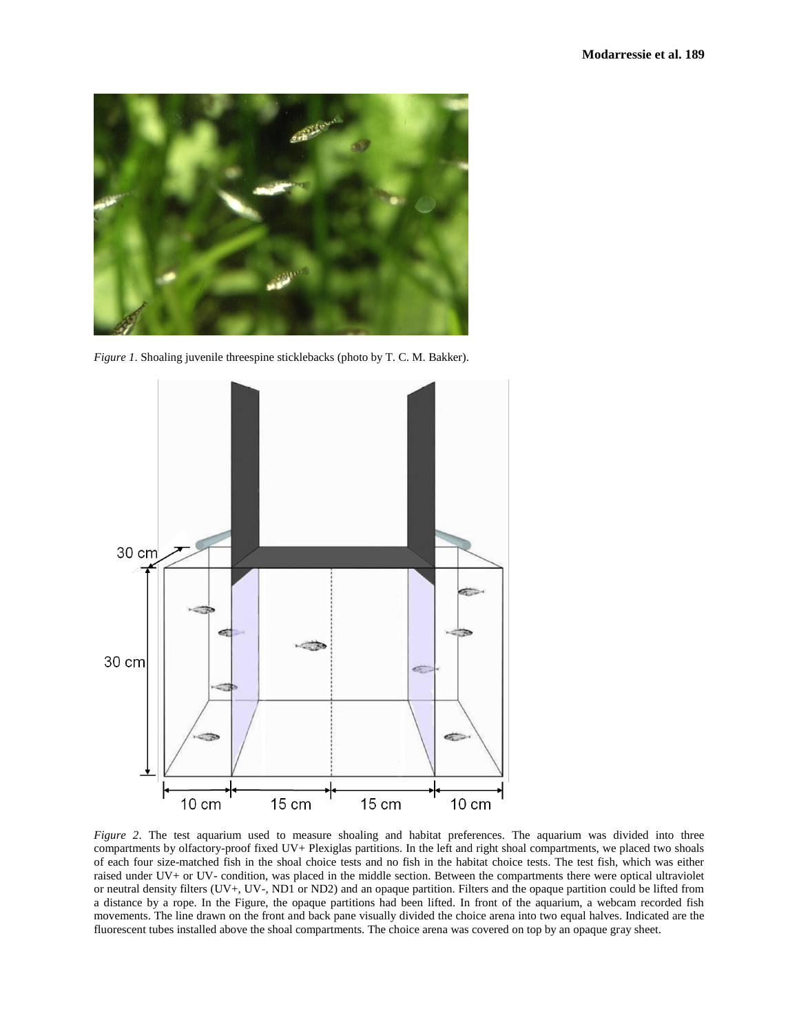

*Figure 1*. Shoaling juvenile threespine sticklebacks (photo by T. C. M. Bakker).



*Figure 2*. The test aquarium used to measure shoaling and habitat preferences. The aquarium was divided into three compartments by olfactory-proof fixed UV+ Plexiglas partitions. In the left and right shoal compartments, we placed two shoals of each four size-matched fish in the shoal choice tests and no fish in the habitat choice tests. The test fish, which was either raised under UV+ or UV- condition, was placed in the middle section. Between the compartments there were optical ultraviolet or neutral density filters (UV+, UV-, ND1 or ND2) and an opaque partition. Filters and the opaque partition could be lifted from a distance by a rope. In the Figure, the opaque partitions had been lifted. In front of the aquarium, a webcam recorded fish movements. The line drawn on the front and back pane visually divided the choice arena into two equal halves. Indicated are the fluorescent tubes installed above the shoal compartments. The choice arena was covered on top by an opaque gray sheet.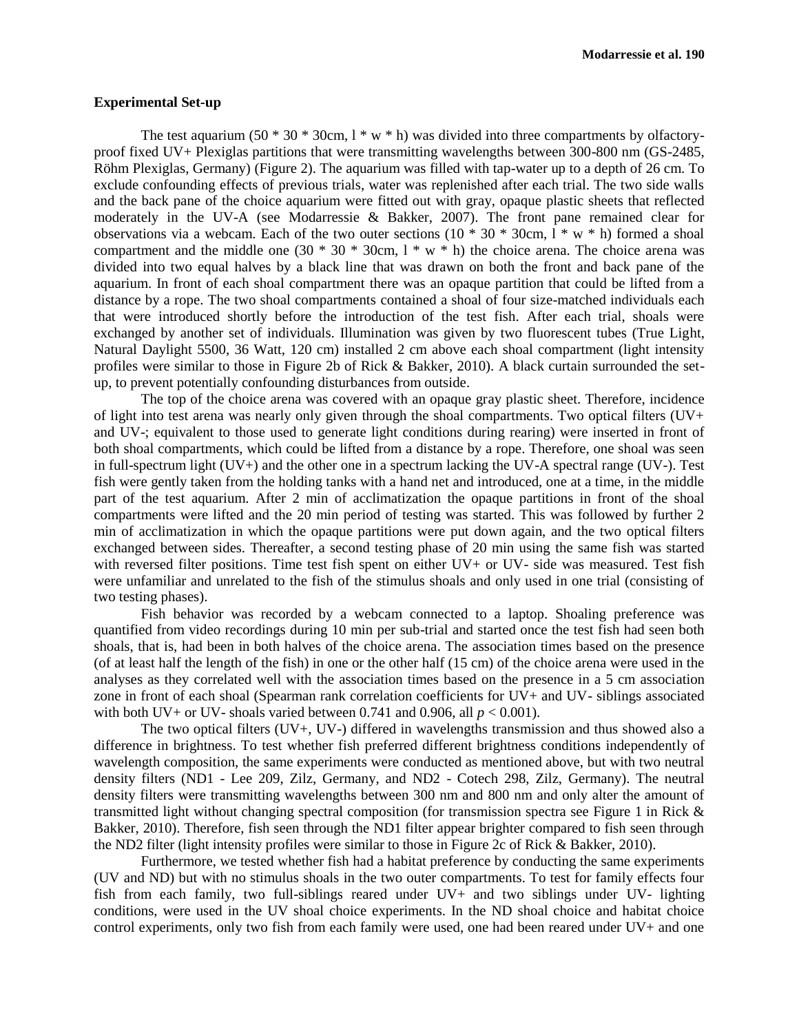## **Experimental Set-up**

The test aquarium (50  $*$  30  $*$  30cm, 1  $*$  w  $*$  h) was divided into three compartments by olfactoryproof fixed UV+ Plexiglas partitions that were transmitting wavelengths between 300-800 nm (GS-2485, Röhm Plexiglas, Germany) (Figure 2). The aquarium was filled with tap-water up to a depth of 26 cm. To exclude confounding effects of previous trials, water was replenished after each trial. The two side walls and the back pane of the choice aquarium were fitted out with gray, opaque plastic sheets that reflected moderately in the UV-A (see Modarressie & Bakker, 2007). The front pane remained clear for observations via a webcam. Each of the two outer sections  $(10 * 30 * 30$ cm,  $1 * w * h$ ) formed a shoal compartment and the middle one  $(30 * 30 * 30 \text{ cm}, 1 * w * h)$  the choice arena. The choice arena was divided into two equal halves by a black line that was drawn on both the front and back pane of the aquarium. In front of each shoal compartment there was an opaque partition that could be lifted from a distance by a rope. The two shoal compartments contained a shoal of four size-matched individuals each that were introduced shortly before the introduction of the test fish. After each trial, shoals were exchanged by another set of individuals. Illumination was given by two fluorescent tubes (True Light, Natural Daylight 5500, 36 Watt, 120 cm) installed 2 cm above each shoal compartment (light intensity profiles were similar to those in Figure 2b of Rick & Bakker, 2010). A black curtain surrounded the setup, to prevent potentially confounding disturbances from outside.

The top of the choice arena was covered with an opaque gray plastic sheet. Therefore, incidence of light into test arena was nearly only given through the shoal compartments. Two optical filters (UV+ and UV-; equivalent to those used to generate light conditions during rearing) were inserted in front of both shoal compartments, which could be lifted from a distance by a rope. Therefore, one shoal was seen in full-spectrum light (UV+) and the other one in a spectrum lacking the UV-A spectral range (UV-). Test fish were gently taken from the holding tanks with a hand net and introduced, one at a time, in the middle part of the test aquarium. After 2 min of acclimatization the opaque partitions in front of the shoal compartments were lifted and the 20 min period of testing was started. This was followed by further 2 min of acclimatization in which the opaque partitions were put down again, and the two optical filters exchanged between sides. Thereafter, a second testing phase of 20 min using the same fish was started with reversed filter positions. Time test fish spent on either UV+ or UV- side was measured. Test fish were unfamiliar and unrelated to the fish of the stimulus shoals and only used in one trial (consisting of two testing phases).

Fish behavior was recorded by a webcam connected to a laptop. Shoaling preference was quantified from video recordings during 10 min per sub-trial and started once the test fish had seen both shoals, that is, had been in both halves of the choice arena. The association times based on the presence (of at least half the length of the fish) in one or the other half (15 cm) of the choice arena were used in the analyses as they correlated well with the association times based on the presence in a 5 cm association zone in front of each shoal (Spearman rank correlation coefficients for UV+ and UV- siblings associated with both UV+ or UV- shoals varied between 0.741 and 0.906, all  $p < 0.001$ ).

The two optical filters (UV+, UV-) differed in wavelengths transmission and thus showed also a difference in brightness. To test whether fish preferred different brightness conditions independently of wavelength composition, the same experiments were conducted as mentioned above, but with two neutral density filters (ND1 - Lee 209, Zilz, Germany, and ND2 - Cotech 298, Zilz, Germany). The neutral density filters were transmitting wavelengths between 300 nm and 800 nm and only alter the amount of transmitted light without changing spectral composition (for transmission spectra see Figure 1 in Rick & Bakker, 2010). Therefore, fish seen through the ND1 filter appear brighter compared to fish seen through the ND2 filter (light intensity profiles were similar to those in Figure 2c of Rick & Bakker, 2010).

Furthermore, we tested whether fish had a habitat preference by conducting the same experiments (UV and ND) but with no stimulus shoals in the two outer compartments. To test for family effects four fish from each family, two full-siblings reared under UV+ and two siblings under UV- lighting conditions, were used in the UV shoal choice experiments. In the ND shoal choice and habitat choice control experiments, only two fish from each family were used, one had been reared under UV+ and one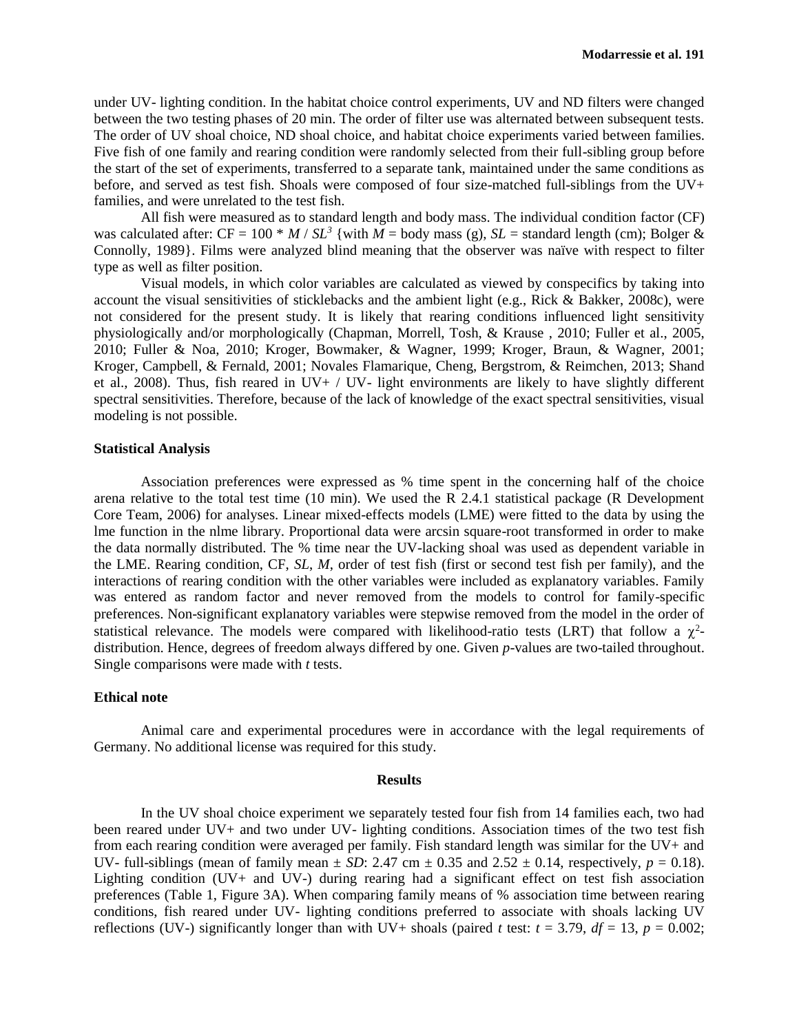under UV- lighting condition. In the habitat choice control experiments, UV and ND filters were changed between the two testing phases of 20 min. The order of filter use was alternated between subsequent tests. The order of UV shoal choice, ND shoal choice, and habitat choice experiments varied between families. Five fish of one family and rearing condition were randomly selected from their full-sibling group before the start of the set of experiments, transferred to a separate tank, maintained under the same conditions as before, and served as test fish. Shoals were composed of four size-matched full-siblings from the UV+ families, and were unrelated to the test fish.

All fish were measured as to standard length and body mass. The individual condition factor (CF) was calculated after:  $CF = 100 * M / SL^3$  {with  $\overline{M} = \text{body mass (g)}$ ,  $SL = \text{standard length (cm)}$ ; Bolger & Connolly, 1989}. Films were analyzed blind meaning that the observer was naïve with respect to filter type as well as filter position.

Visual models, in which color variables are calculated as viewed by conspecifics by taking into account the visual sensitivities of sticklebacks and the ambient light (e.g., Rick & Bakker, 2008c), were not considered for the present study. It is likely that rearing conditions influenced light sensitivity physiologically and/or morphologically (Chapman, Morrell, Tosh, & Krause , 2010; Fuller et al., 2005, 2010; Fuller & Noa, 2010; Kroger, Bowmaker, & Wagner, 1999; Kroger, Braun, & Wagner, 2001; Kroger, Campbell, & Fernald, 2001; Novales Flamarique, Cheng, Bergstrom, & Reimchen, 2013; Shand et al., 2008). Thus, fish reared in  $UV+ / UV-$  light environments are likely to have slightly different spectral sensitivities. Therefore, because of the lack of knowledge of the exact spectral sensitivities, visual modeling is not possible.

### **Statistical Analysis**

Association preferences were expressed as % time spent in the concerning half of the choice arena relative to the total test time (10 min). We used the R 2.4.1 statistical package (R Development Core Team, 2006) for analyses. Linear mixed-effects models (LME) were fitted to the data by using the lme function in the nlme library. Proportional data were arcsin square-root transformed in order to make the data normally distributed. The % time near the UV-lacking shoal was used as dependent variable in the LME. Rearing condition, CF, *SL*, *M*, order of test fish (first or second test fish per family), and the interactions of rearing condition with the other variables were included as explanatory variables. Family was entered as random factor and never removed from the models to control for family-specific preferences. Non-significant explanatory variables were stepwise removed from the model in the order of statistical relevance. The models were compared with likelihood-ratio tests (LRT) that follow a  $\chi^2$ distribution. Hence, degrees of freedom always differed by one. Given *p*-values are two-tailed throughout. Single comparisons were made with *t* tests.

# **Ethical note**

Animal care and experimental procedures were in accordance with the legal requirements of Germany. No additional license was required for this study.

#### **Results**

In the UV shoal choice experiment we separately tested four fish from 14 families each, two had been reared under UV+ and two under UV- lighting conditions. Association times of the two test fish from each rearing condition were averaged per family. Fish standard length was similar for the UV+ and UV- full-siblings (mean of family mean  $\pm SD$ : 2.47 cm  $\pm 0.35$  and 2.52  $\pm 0.14$ , respectively,  $p = 0.18$ ). Lighting condition (UV+ and UV-) during rearing had a significant effect on test fish association preferences (Table 1, Figure 3A). When comparing family means of % association time between rearing conditions, fish reared under UV- lighting conditions preferred to associate with shoals lacking UV reflections (UV-) significantly longer than with UV+ shoals (paired *t* test:  $t = 3.79$ ,  $df = 13$ ,  $p = 0.002$ ;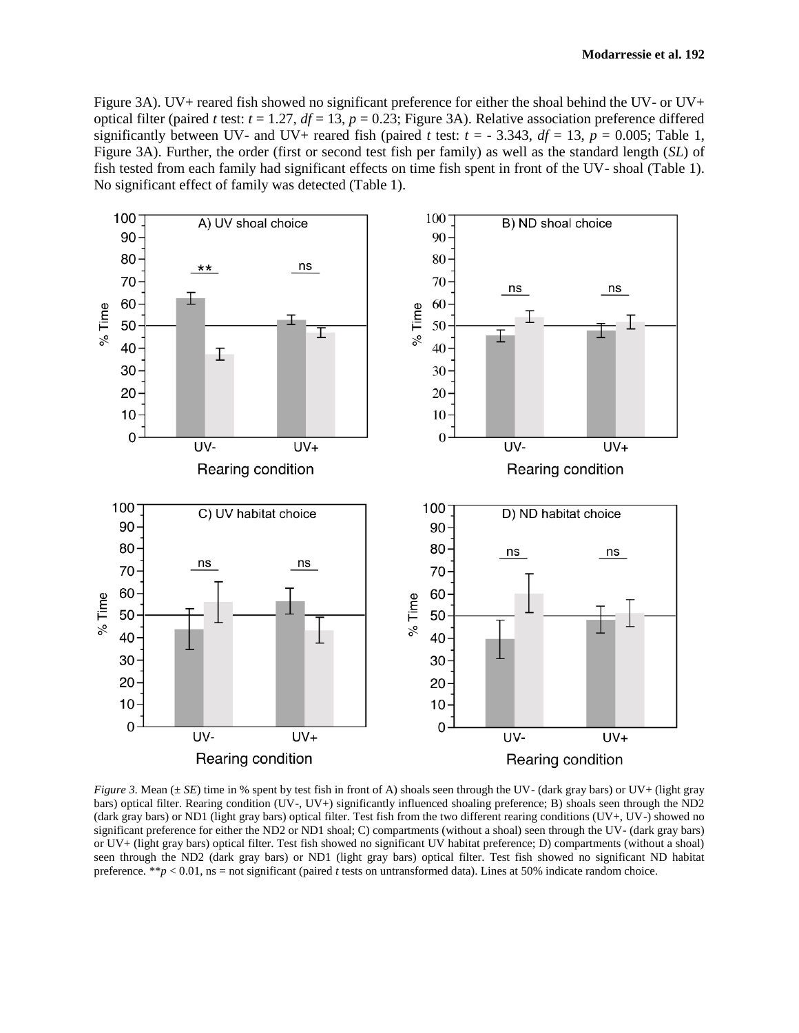Figure 3A). UV+ reared fish showed no significant preference for either the shoal behind the UV- or UV+ optical filter (paired *t* test:  $t = 1.27$ ,  $df = 13$ ,  $p = 0.23$ ; Figure 3A). Relative association preference differed significantly between UV- and UV+ reared fish (paired *t* test:  $t = -3.343$ ,  $df = 13$ ,  $p = 0.005$ ; Table 1, Figure 3A). Further, the order (first or second test fish per family) as well as the standard length (*SL*) of fish tested from each family had significant effects on time fish spent in front of the UV- shoal (Table 1). No significant effect of family was detected (Table 1).



*Figure 3*. Mean ( $\pm$  *SE*) time in % spent by test fish in front of A) shoals seen through the UV- (dark gray bars) or UV+ (light gray bars) optical filter. Rearing condition (UV-, UV+) significantly influenced shoaling preference; B) shoals seen through the ND2 (dark gray bars) or ND1 (light gray bars) optical filter. Test fish from the two different rearing conditions (UV+, UV-) showed no significant preference for either the ND2 or ND1 shoal; C) compartments (without a shoal) seen through the UV- (dark gray bars) or UV+ (light gray bars) optical filter. Test fish showed no significant UV habitat preference; D) compartments (without a shoal) seen through the ND2 (dark gray bars) or ND1 (light gray bars) optical filter. Test fish showed no significant ND habitat preference. \*\**p* < 0.01, ns = not significant (paired *t* tests on untransformed data). Lines at 50% indicate random choice.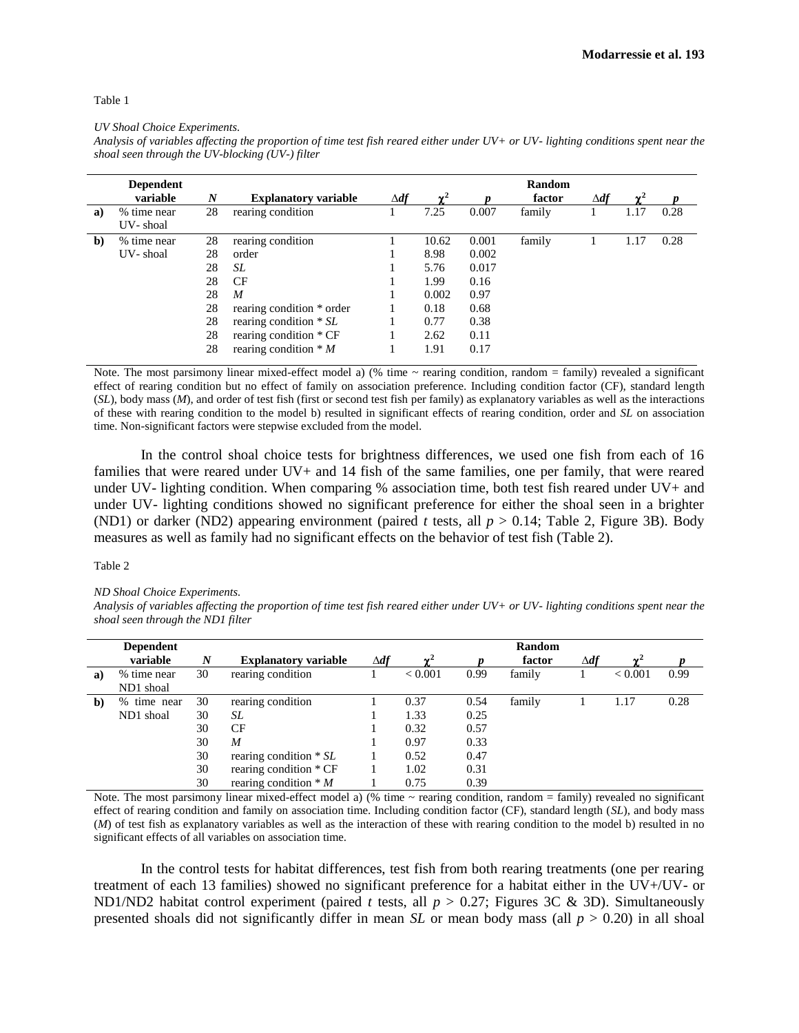#### Table 1

*UV Shoal Choice Experiments.* 

*Analysis of variables affecting the proportion of time test fish reared either under UV+ or UV- lighting conditions spent near the shoal seen through the UV-blocking (UV-) filter*

|              | <b>Dependent</b> |                  |                             |             |        |       | Random |             |        |      |
|--------------|------------------|------------------|-----------------------------|-------------|--------|-------|--------|-------------|--------|------|
|              | variable         | $\boldsymbol{N}$ | <b>Explanatory variable</b> | $\Delta df$ | $\sim$ |       | factor | $\Delta df$ | $\sim$ |      |
| a)           | % time near      | 28               | rearing condition           |             | 7.25   | 0.007 | family |             | 1.17   | 0.28 |
|              | UV-shoal         |                  |                             |             |        |       |        |             |        |      |
| $\mathbf{b}$ | % time near      | 28               | rearing condition           |             | 10.62  | 0.001 | family |             | 1.17   | 0.28 |
|              | UV-shoal         | 28               | order                       |             | 8.98   | 0.002 |        |             |        |      |
|              |                  | 28               | SL                          |             | 5.76   | 0.017 |        |             |        |      |
|              |                  | 28               | <b>CF</b>                   |             | 1.99   | 0.16  |        |             |        |      |
|              |                  | 28               | $\boldsymbol{M}$            |             | 0.002  | 0.97  |        |             |        |      |
|              |                  | 28               | rearing condition * order   |             | 0.18   | 0.68  |        |             |        |      |
|              |                  | 28               | rearing condition $* SL$    |             | 0.77   | 0.38  |        |             |        |      |
|              |                  | 28               | rearing condition * CF      |             | 2.62   | 0.11  |        |             |        |      |
|              |                  | 28               | rearing condition $* M$     |             | 1.91   | 0.17  |        |             |        |      |

Note. The most parsimony linear mixed-effect model a) (% time ~ rearing condition, random = family) revealed a significant effect of rearing condition but no effect of family on association preference. Including condition factor (CF), standard length (*SL*), body mass (*M*), and order of test fish (first or second test fish per family) as explanatory variables as well as the interactions of these with rearing condition to the model b) resulted in significant effects of rearing condition, order and *SL* on association time. Non-significant factors were stepwise excluded from the model.

In the control shoal choice tests for brightness differences, we used one fish from each of 16 families that were reared under UV+ and 14 fish of the same families, one per family, that were reared under UV- lighting condition. When comparing % association time, both test fish reared under UV+ and under UV- lighting conditions showed no significant preference for either the shoal seen in a brighter (ND1) or darker (ND2) appearing environment (paired *t* tests, all  $p > 0.14$ ; Table 2, Figure 3B). Body measures as well as family had no significant effects on the behavior of test fish (Table 2).

#### Table 2

*ND Shoal Choice Experiments.* 

*Analysis of variables affecting the proportion of time test fish reared either under UV+ or UV- lighting conditions spent near the shoal seen through the ND1 filter*

|    | <b>Dependent</b>  |    |                             |             |                |      | <b>Random</b> |             |                     |      |
|----|-------------------|----|-----------------------------|-------------|----------------|------|---------------|-------------|---------------------|------|
|    | variable          | N  | <b>Explanatory variable</b> | $\Delta df$ | $\mathbf{v}^2$ |      | factor        | $\Delta df$ | $\sim$ <sup>2</sup> |      |
| a) | % time near       | 30 | rearing condition           |             | < 0.001        | 0.99 | family        |             | < 0.001             | 0.99 |
|    | ND1 shoal         |    |                             |             |                |      |               |             |                     |      |
| b) | $\%$<br>time near | 30 | rearing condition           |             | 0.37           | 0.54 | family        |             | 1.17                | 0.28 |
|    | ND1 shoal         | 30 | SL                          |             | 1.33           | 0.25 |               |             |                     |      |
|    |                   | 30 | <b>CF</b>                   |             | 0.32           | 0.57 |               |             |                     |      |
|    |                   | 30 | M                           |             | 0.97           | 0.33 |               |             |                     |      |
|    |                   | 30 | rearing condition $* SL$    |             | 0.52           | 0.47 |               |             |                     |      |
|    |                   | 30 | rearing condition * CF      |             | 1.02           | 0.31 |               |             |                     |      |
|    |                   | 30 | rearing condition $* M$     |             | 0.75           | 0.39 |               |             |                     |      |

Note. The most parsimony linear mixed-effect model a) (% time  $\sim$  rearing condition, random = family) revealed no significant effect of rearing condition and family on association time. Including condition factor (CF), standard length (*SL*), and body mass (*M*) of test fish as explanatory variables as well as the interaction of these with rearing condition to the model b) resulted in no significant effects of all variables on association time.

In the control tests for habitat differences, test fish from both rearing treatments (one per rearing treatment of each 13 families) showed no significant preference for a habitat either in the UV+/UV- or ND1/ND2 habitat control experiment (paired *t* tests, all *p* > 0.27; Figures 3C & 3D). Simultaneously presented shoals did not significantly differ in mean *SL* or mean body mass (all  $p > 0.20$ ) in all shoal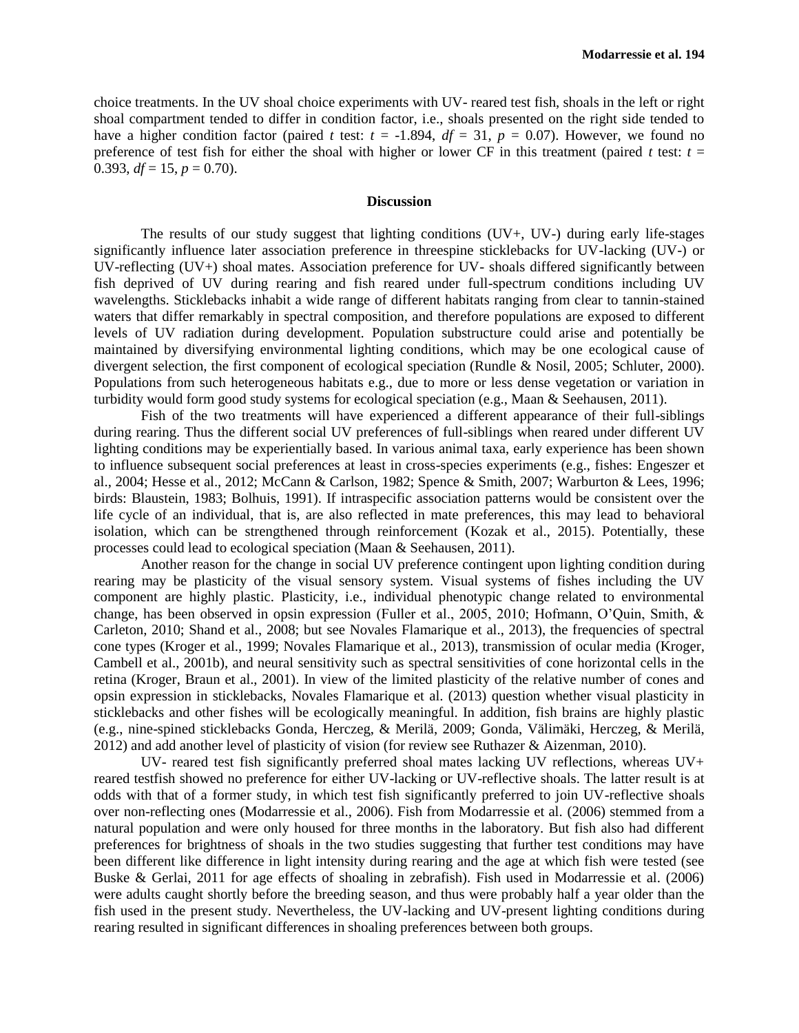choice treatments. In the UV shoal choice experiments with UV- reared test fish, shoals in the left or right shoal compartment tended to differ in condition factor, i.e., shoals presented on the right side tended to have a higher condition factor (paired *t* test:  $t = -1.894$ ,  $df = 31$ ,  $p = 0.07$ ). However, we found no preference of test fish for either the shoal with higher or lower CF in this treatment (paired *t* test:  $t =$ 0.393,  $df = 15$ ,  $p = 0.70$ ).

## **Discussion**

The results of our study suggest that lighting conditions (UV+, UV-) during early life-stages significantly influence later association preference in threespine sticklebacks for UV-lacking (UV-) or UV-reflecting (UV+) shoal mates. Association preference for UV- shoals differed significantly between fish deprived of UV during rearing and fish reared under full-spectrum conditions including UV wavelengths. Sticklebacks inhabit a wide range of different habitats ranging from clear to tannin-stained waters that differ remarkably in spectral composition, and therefore populations are exposed to different levels of UV radiation during development. Population substructure could arise and potentially be maintained by diversifying environmental lighting conditions, which may be one ecological cause of divergent selection, the first component of ecological speciation (Rundle & Nosil, 2005; Schluter, 2000). Populations from such heterogeneous habitats e.g., due to more or less dense vegetation or variation in turbidity would form good study systems for ecological speciation (e.g., Maan & Seehausen, 2011).

Fish of the two treatments will have experienced a different appearance of their full-siblings during rearing. Thus the different social UV preferences of full-siblings when reared under different UV lighting conditions may be experientially based. In various animal taxa, early experience has been shown to influence subsequent social preferences at least in cross-species experiments (e.g., fishes: Engeszer et al., 2004; Hesse et al., 2012; McCann & Carlson, 1982; Spence & Smith, 2007; Warburton & Lees, 1996; birds: Blaustein, 1983; Bolhuis, 1991). If intraspecific association patterns would be consistent over the life cycle of an individual, that is, are also reflected in mate preferences, this may lead to behavioral isolation, which can be strengthened through reinforcement (Kozak et al., 2015). Potentially, these processes could lead to ecological speciation (Maan & Seehausen, 2011).

Another reason for the change in social UV preference contingent upon lighting condition during rearing may be plasticity of the visual sensory system. Visual systems of fishes including the UV component are highly plastic. Plasticity, i.e., individual phenotypic change related to environmental change, has been observed in opsin expression (Fuller et al., 2005, 2010; Hofmann, O'Quin, Smith, & Carleton, 2010; Shand et al., 2008; but see Novales Flamarique et al., 2013), the frequencies of spectral cone types (Kroger et al., 1999; Novales Flamarique et al., 2013), transmission of ocular media (Kroger, Cambell et al., 2001b), and neural sensitivity such as spectral sensitivities of cone horizontal cells in the retina (Kroger, Braun et al., 2001). In view of the limited plasticity of the relative number of cones and opsin expression in sticklebacks, Novales Flamarique et al. (2013) question whether visual plasticity in sticklebacks and other fishes will be ecologically meaningful. In addition, fish brains are highly plastic (e.g., nine-spined sticklebacks Gonda, Herczeg, & Merilä, 2009; Gonda, Välimäki, Herczeg, & Merilä, 2012) and add another level of plasticity of vision (for review see Ruthazer & Aizenman, 2010).

UV- reared test fish significantly preferred shoal mates lacking UV reflections, whereas UV+ reared testfish showed no preference for either UV-lacking or UV-reflective shoals. The latter result is at odds with that of a former study, in which test fish significantly preferred to join UV-reflective shoals over non-reflecting ones (Modarressie et al., 2006). Fish from Modarressie et al. (2006) stemmed from a natural population and were only housed for three months in the laboratory. But fish also had different preferences for brightness of shoals in the two studies suggesting that further test conditions may have been different like difference in light intensity during rearing and the age at which fish were tested (see Buske & Gerlai, 2011 for age effects of shoaling in zebrafish). Fish used in Modarressie et al. (2006) were adults caught shortly before the breeding season, and thus were probably half a year older than the fish used in the present study. Nevertheless, the UV-lacking and UV-present lighting conditions during rearing resulted in significant differences in shoaling preferences between both groups.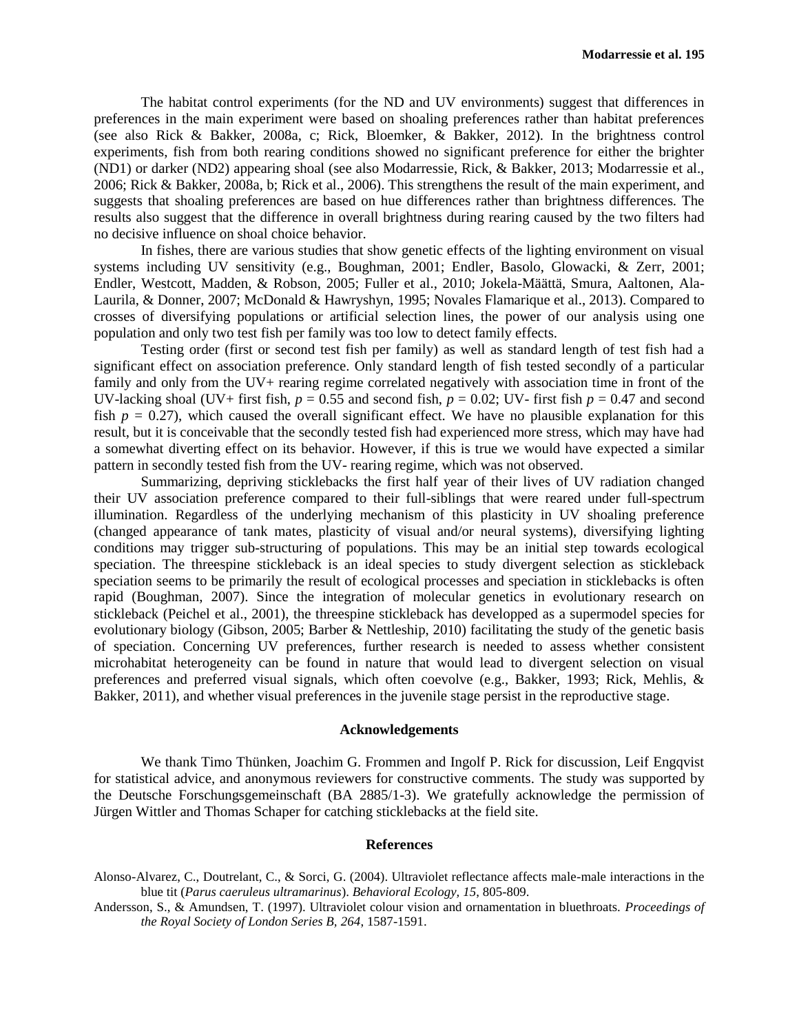The habitat control experiments (for the ND and UV environments) suggest that differences in preferences in the main experiment were based on shoaling preferences rather than habitat preferences (see also Rick & Bakker, 2008a, c; Rick, Bloemker, & Bakker, 2012). In the brightness control experiments, fish from both rearing conditions showed no significant preference for either the brighter (ND1) or darker (ND2) appearing shoal (see also Modarressie, Rick, & Bakker, 2013; Modarressie et al., 2006; Rick & Bakker, 2008a, b; Rick et al., 2006). This strengthens the result of the main experiment, and suggests that shoaling preferences are based on hue differences rather than brightness differences. The results also suggest that the difference in overall brightness during rearing caused by the two filters had no decisive influence on shoal choice behavior.

In fishes, there are various studies that show genetic effects of the lighting environment on visual systems including UV sensitivity (e.g., Boughman, 2001; Endler, Basolo, Glowacki, & Zerr, 2001; Endler, Westcott, Madden, & Robson, 2005; Fuller et al., 2010; Jokela-Määttä, Smura, Aaltonen, Ala-Laurila, & Donner, 2007; McDonald & Hawryshyn, 1995; Novales Flamarique et al., 2013). Compared to crosses of diversifying populations or artificial selection lines, the power of our analysis using one population and only two test fish per family was too low to detect family effects.

Testing order (first or second test fish per family) as well as standard length of test fish had a significant effect on association preference. Only standard length of fish tested secondly of a particular family and only from the UV+ rearing regime correlated negatively with association time in front of the UV-lacking shoal (UV+ first fish,  $p = 0.55$  and second fish,  $p = 0.02$ ; UV- first fish  $p = 0.47$  and second fish  $p = 0.27$ ), which caused the overall significant effect. We have no plausible explanation for this result, but it is conceivable that the secondly tested fish had experienced more stress, which may have had a somewhat diverting effect on its behavior. However, if this is true we would have expected a similar pattern in secondly tested fish from the UV- rearing regime, which was not observed.

Summarizing, depriving sticklebacks the first half year of their lives of UV radiation changed their UV association preference compared to their full-siblings that were reared under full-spectrum illumination. Regardless of the underlying mechanism of this plasticity in UV shoaling preference (changed appearance of tank mates, plasticity of visual and/or neural systems), diversifying lighting conditions may trigger sub-structuring of populations. This may be an initial step towards ecological speciation. The threespine stickleback is an ideal species to study divergent selection as stickleback speciation seems to be primarily the result of ecological processes and speciation in sticklebacks is often rapid (Boughman, 2007). Since the integration of molecular genetics in evolutionary research on stickleback (Peichel et al., 2001), the threespine stickleback has developped as a supermodel species for evolutionary biology (Gibson, 2005; Barber & Nettleship, 2010) facilitating the study of the genetic basis of speciation. Concerning UV preferences, further research is needed to assess whether consistent microhabitat heterogeneity can be found in nature that would lead to divergent selection on visual preferences and preferred visual signals, which often coevolve (e.g., Bakker, 1993; Rick, Mehlis, & Bakker, 2011), and whether visual preferences in the juvenile stage persist in the reproductive stage.

#### **Acknowledgements**

We thank Timo Thünken, Joachim G. Frommen and Ingolf P. Rick for discussion, Leif Engqvist for statistical advice, and anonymous reviewers for constructive comments. The study was supported by the Deutsche Forschungsgemeinschaft (BA 2885/1-3). We gratefully acknowledge the permission of Jürgen Wittler and Thomas Schaper for catching sticklebacks at the field site.

#### **References**

- Alonso-Alvarez, C., Doutrelant, C., & Sorci, G. (2004). Ultraviolet reflectance affects male-male interactions in the blue tit (*Parus caeruleus ultramarinus*). *Behavioral Ecology, 15*, 805-809.
- Andersson, S., & Amundsen, T. (1997). Ultraviolet colour vision and ornamentation in bluethroats. *Proceedings of the Royal Society of London Series B, 264*, 1587-1591.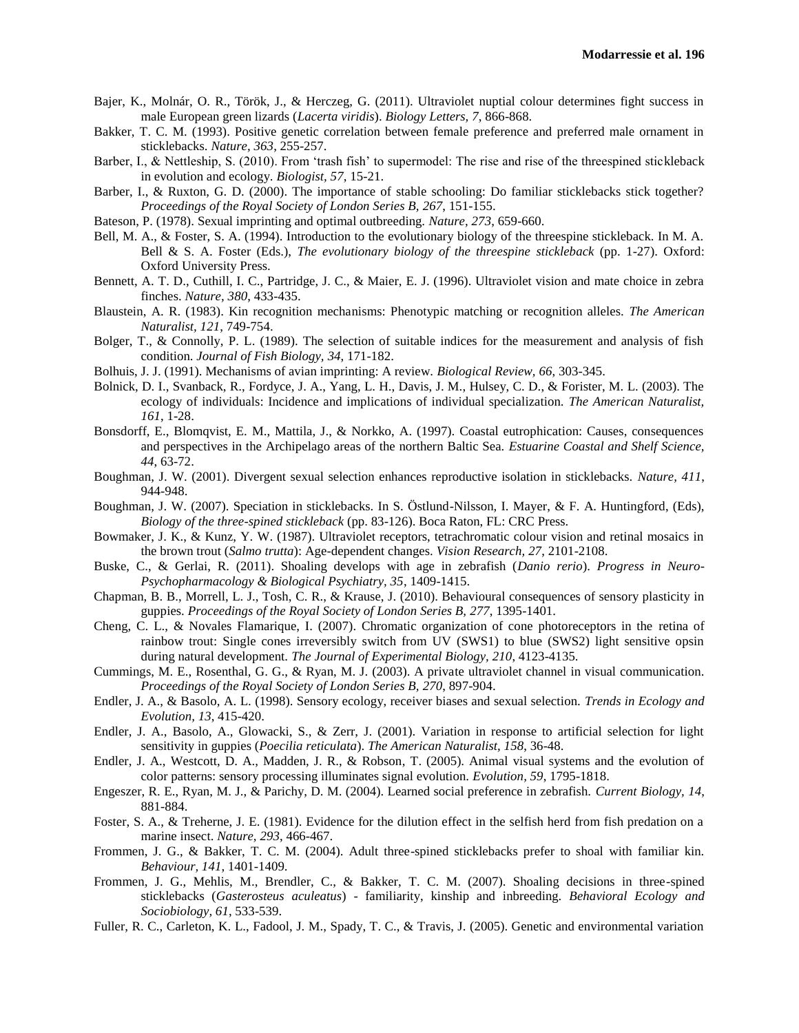- Bajer, K., Molnár, O. R., Török, J., & Herczeg, G. (2011). Ultraviolet nuptial colour determines fight success in male European green lizards (*Lacerta viridis*). *Biology Letters, 7*, 866-868.
- Bakker, T. C. M. (1993). Positive genetic correlation between female preference and preferred male ornament in sticklebacks. *Nature, 363*, 255-257.
- Barber, I., & Nettleship, S. (2010). From 'trash fish' to supermodel: The rise and rise of the threespined stickleback in evolution and ecology. *Biologist, 57*, 15-21.
- Barber, I., & Ruxton, G. D. (2000). The importance of stable schooling: Do familiar sticklebacks stick together? *Proceedings of the Royal Society of London Series B, 267*, 151-155.
- Bateson, P. (1978). Sexual imprinting and optimal outbreeding. *Nature, 273*, 659-660.
- Bell, M. A., & Foster, S. A. (1994). Introduction to the evolutionary biology of the threespine stickleback. In M. A. Bell & S. A. Foster (Eds.), *The evolutionary biology of the threespine stickleback* (pp. 1-27). Oxford: Oxford University Press.
- Bennett, A. T. D., Cuthill, I. C., Partridge, J. C., & Maier, E. J. (1996). Ultraviolet vision and mate choice in zebra finches. *Nature, 380*, 433-435.
- Blaustein, A. R. (1983). Kin recognition mechanisms: Phenotypic matching or recognition alleles. *The American Naturalist, 121*, 749-754.
- Bolger, T., & Connolly, P. L. (1989). The selection of suitable indices for the measurement and analysis of fish condition. *Journal of Fish Biology, 34*, 171-182.
- Bolhuis, J. J. (1991). Mechanisms of avian imprinting: A review. *Biological Review, 66*, 303-345.
- Bolnick, D. I., Svanback, R., Fordyce, J. A., Yang, L. H., Davis, J. M., Hulsey, C. D., & Forister, M. L. (2003). The ecology of individuals: Incidence and implications of individual specialization. *The American Naturalist, 161*, 1-28.
- Bonsdorff, E., Blomqvist, E. M., Mattila, J., & Norkko, A. (1997). Coastal eutrophication: Causes, consequences and perspectives in the Archipelago areas of the northern Baltic Sea. *Estuarine Coastal and Shelf Science, 44*, 63-72.
- Boughman, J. W. (2001). Divergent sexual selection enhances reproductive isolation in sticklebacks. *Nature, 411*, 944-948.
- Boughman, J. W. (2007). Speciation in sticklebacks. In S. Östlund-Nilsson, I. Mayer, & F. A. Huntingford, (Eds), *Biology of the three-spined stickleback* (pp. 83-126). Boca Raton, FL: CRC Press.
- Bowmaker, J. K., & Kunz, Y. W. (1987). Ultraviolet receptors, tetrachromatic colour vision and retinal mosaics in the brown trout (*Salmo trutta*): Age-dependent changes. *Vision Research, 27*, 2101-2108.
- Buske, C., & Gerlai, R. (2011). Shoaling develops with age in zebrafish (*Danio rerio*). *Progress in Neuro-Psychopharmacology & Biological Psychiatry, 35*, 1409-1415.
- Chapman, B. B., Morrell, L. J., Tosh, C. R., & Krause, J. (2010). Behavioural consequences of sensory plasticity in guppies. *Proceedings of the Royal Society of London Series B, 277*, 1395-1401.
- Cheng, C. L., & Novales Flamarique, I. (2007). Chromatic organization of cone photoreceptors in the retina of rainbow trout: Single cones irreversibly switch from UV (SWS1) to blue (SWS2) light sensitive opsin during natural development. *The Journal of Experimental Biology, 210*, 4123-4135.
- Cummings, M. E., Rosenthal, G. G., & Ryan, M. J. (2003). A private ultraviolet channel in visual communication. *Proceedings of the Royal Society of London Series B, 270*, 897-904.
- Endler, J. A., & Basolo, A. L. (1998). Sensory ecology, receiver biases and sexual selection. *Trends in Ecology and Evolution, 13*, 415-420.
- Endler, J. A., Basolo, A., Glowacki, S., & Zerr, J. (2001). Variation in response to artificial selection for light sensitivity in guppies (*Poecilia reticulata*). *The American Naturalist, 158*, 36-48.
- Endler, J. A., Westcott, D. A., Madden, J. R., & Robson, T. (2005). Animal visual systems and the evolution of color patterns: sensory processing illuminates signal evolution. *Evolution, 59*, 1795-1818.
- Engeszer, R. E., Ryan, M. J., & Parichy, D. M. (2004). Learned social preference in zebrafish. *Current Biology, 14*, 881-884.
- Foster, S. A., & Treherne, J. E. (1981). Evidence for the dilution effect in the selfish herd from fish predation on a marine insect. *Nature, 293*, 466-467.
- Frommen, J. G., & Bakker, T. C. M. (2004). Adult three-spined sticklebacks prefer to shoal with familiar kin. *Behaviour, 141*, 1401-1409.
- Frommen, J. G., Mehlis, M., Brendler, C., & Bakker, T. C. M. (2007). Shoaling decisions in three-spined sticklebacks (*Gasterosteus aculeatus*) - familiarity, kinship and inbreeding. *Behavioral Ecology and Sociobiology, 61*, 533-539.
- Fuller, R. C., Carleton, K. L., Fadool, J. M., Spady, T. C., & Travis, J. (2005). Genetic and environmental variation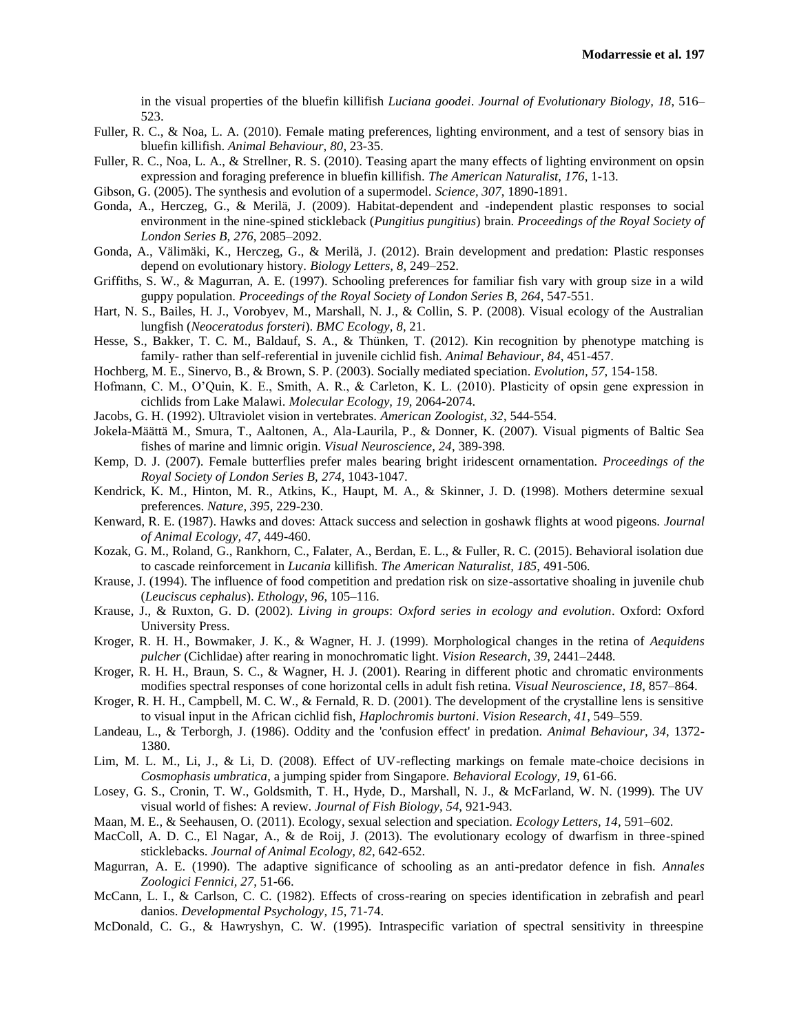in the visual properties of the bluefin killifish *Luciana goodei*. *Journal of Evolutionary Biology, 18*, 516– 523.

- Fuller, R. C., & Noa, L. A. (2010). Female mating preferences, lighting environment, and a test of sensory bias in bluefin killifish. *Animal Behaviour, 80*, 23-35.
- Fuller, R. C., Noa, L. A., & Strellner, R. S. (2010). Teasing apart the many effects of lighting environment on opsin expression and foraging preference in bluefin killifish. *The American Naturalist, 176*, 1-13.
- Gibson, G. (2005). The synthesis and evolution of a supermodel. *Science, 307*, 1890-1891.
- Gonda, A., Herczeg, G., & Merilä, J. (2009). Habitat-dependent and -independent plastic responses to social environment in the nine-spined stickleback (*Pungitius pungitius*) brain. *Proceedings of the Royal Society of London Series B, 276*, 2085–2092.
- Gonda, A., Välimäki, K., Herczeg, G., & Merilä, J. (2012). Brain development and predation: Plastic responses depend on evolutionary history. *Biology Letters, 8*, 249–252.
- Griffiths, S. W., & Magurran, A. E. (1997). Schooling preferences for familiar fish vary with group size in a wild guppy population. *Proceedings of the Royal Society of London Series B, 264*, 547-551.
- Hart, N. S., Bailes, H. J., Vorobyev, M., Marshall, N. J., & Collin, S. P. (2008). Visual ecology of the Australian lungfish (*Neoceratodus forsteri*). *BMC Ecology, 8*, 21.
- Hesse, S., Bakker, T. C. M., Baldauf, S. A., & Thünken, T. (2012). Kin recognition by phenotype matching is family- rather than self-referential in juvenile cichlid fish. *Animal Behaviour, 84*, 451-457.
- Hochberg, M. E., Sinervo, B., & Brown, S. P. (2003). Socially mediated speciation. *Evolution, 57*, 154-158.
- Hofmann, C. M., O'Quin, K. E., Smith, A. R., & Carleton, K. L. (2010). Plasticity of opsin gene expression in cichlids from Lake Malawi. *Molecular Ecology, 19*, 2064-2074.
- Jacobs, G. H. (1992). Ultraviolet vision in vertebrates. *American Zoologist, 32*, 544-554.
- Jokela-Määttä M., Smura, T., Aaltonen, A., Ala-Laurila, P., & Donner, K. (2007). Visual pigments of Baltic Sea fishes of marine and limnic origin. *Visual Neuroscience, 24*, 389-398.
- Kemp, D. J. (2007). Female butterflies prefer males bearing bright iridescent ornamentation. *Proceedings of the Royal Society of London Series B, 274*, 1043-1047.
- Kendrick, K. M., Hinton, M. R., Atkins, K., Haupt, M. A., & Skinner, J. D. (1998). Mothers determine sexual preferences. *Nature, 395*, 229-230.
- Kenward, R. E. (1987). Hawks and doves: Attack success and selection in goshawk flights at wood pigeons. *Journal of Animal Ecology, 47*, 449-460.
- Kozak, G. M., Roland, G., Rankhorn, C., Falater, A., Berdan, E. L., & Fuller, R. C. (2015). Behavioral isolation due to cascade reinforcement in *Lucania* killifish. *The American Naturalist, 185,* 491-506*.*
- Krause, J. (1994). The influence of food competition and predation risk on size-assortative shoaling in juvenile chub (*Leuciscus cephalus*). *Ethology, 96*, 105–116.
- Krause, J., & Ruxton, G. D. (2002). *Living in groups*: *Oxford series in ecology and evolution*. Oxford: Oxford University Press.
- Kroger, R. H. H., Bowmaker, J. K., & Wagner, H. J. (1999). Morphological changes in the retina of *Aequidens pulcher* (Cichlidae) after rearing in monochromatic light. *Vision Research, 39*, 2441–2448.
- Kroger, R. H. H., Braun, S. C., & Wagner, H. J. (2001). Rearing in different photic and chromatic environments modifies spectral responses of cone horizontal cells in adult fish retina. *Visual Neuroscience, 18*, 857–864.
- Kroger, R. H. H., Campbell, M. C. W., & Fernald, R. D. (2001). The development of the crystalline lens is sensitive to visual input in the African cichlid fish, *Haplochromis burtoni*. *Vision Research, 41*, 549–559.
- Landeau, L., & Terborgh, J. (1986). Oddity and the 'confusion effect' in predation. *Animal Behaviour, 34*, 1372- 1380.
- Lim, M. L. M., Li, J., & Li, D. (2008). Effect of UV-reflecting markings on female mate-choice decisions in *Cosmophasis umbratica*, a jumping spider from Singapore. *Behavioral Ecology, 19*, 61-66.
- Losey, G. S., Cronin, T. W., Goldsmith, T. H., Hyde, D., Marshall, N. J., & McFarland, W. N. (1999). The UV visual world of fishes: A review. *Journal of Fish Biology, 54*, 921-943.
- Maan, M. E., & Seehausen, O. (2011). Ecology, sexual selection and speciation. *Ecology Letters, 14*, 591–602.
- MacColl, A. D. C., El Nagar, A., & de Roij, J. (2013). The evolutionary ecology of dwarfism in three-spined sticklebacks. *Journal of Animal Ecology, 82*, 642-652.
- Magurran, A. E. (1990). The adaptive significance of schooling as an anti-predator defence in fish. *Annales Zoologici Fennici, 27*, 51-66.
- McCann, L. I., & Carlson, C. C. (1982). Effects of cross-rearing on species identification in zebrafish and pearl danios. *Developmental Psychology, 15*, 71-74.
- McDonald, C. G., & Hawryshyn, C. W. (1995). Intraspecific variation of spectral sensitivity in threespine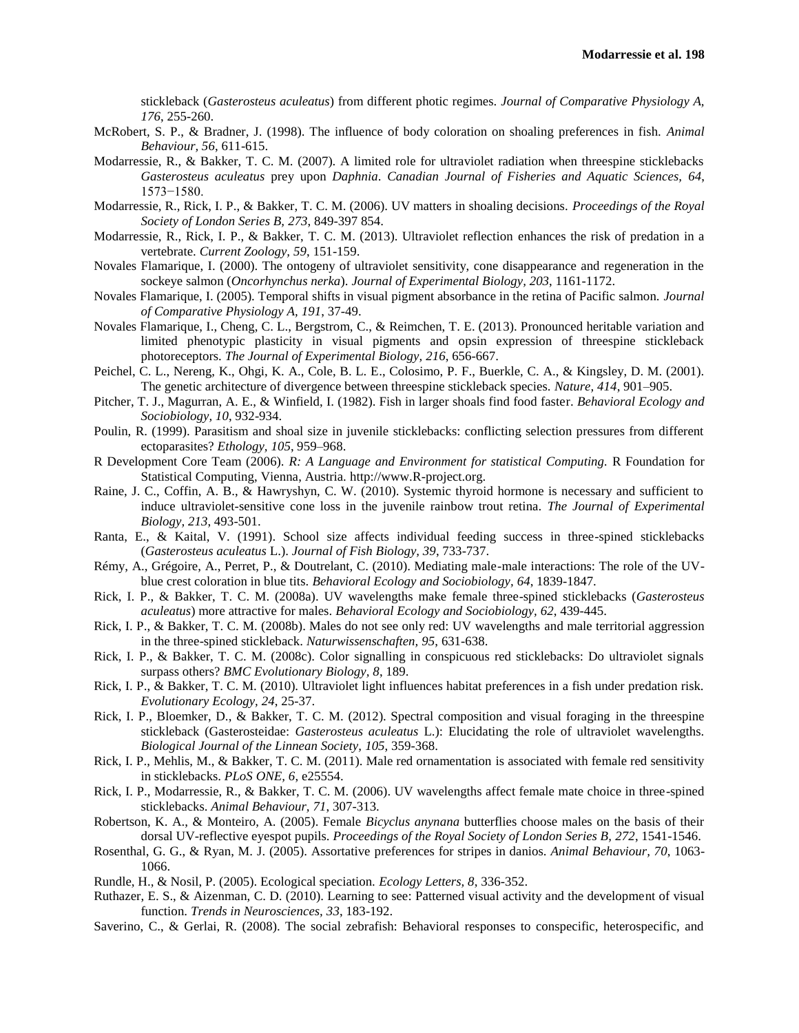stickleback (*Gasterosteus aculeatus*) from different photic regimes. *Journal of Comparative Physiology A, 176*, 255-260.

- McRobert, S. P., & Bradner, J. (1998). The influence of body coloration on shoaling preferences in fish. *Animal Behaviour, 56*, 611-615.
- Modarressie, R., & Bakker, T. C. M. (2007). A limited role for ultraviolet radiation when threespine sticklebacks *Gasterosteus aculeatus* prey upon *Daphnia*. *Canadian Journal of Fisheries and Aquatic Sciences, 64*, 1573−1580.
- Modarressie, R., Rick, I. P., & Bakker, T. C. M. (2006). UV matters in shoaling decisions. *Proceedings of the Royal Society of London Series B, 273*, 849-397 854.
- Modarressie, R., Rick, I. P., & Bakker, T. C. M. (2013). Ultraviolet reflection enhances the risk of predation in a vertebrate. *Current Zoology, 59*, 151-159.
- Novales Flamarique, I. (2000). The ontogeny of ultraviolet sensitivity, cone disappearance and regeneration in the sockeye salmon (*Oncorhynchus nerka*). *Journal of Experimental Biology, 203*, 1161-1172.
- Novales Flamarique, I. (2005). Temporal shifts in visual pigment absorbance in the retina of Pacific salmon. *Journal of Comparative Physiology A, 191*, 37-49.
- Novales Flamarique, I., Cheng, C. L., Bergstrom, C., & Reimchen, T. E. (2013). Pronounced heritable variation and limited phenotypic plasticity in visual pigments and opsin expression of threespine stickleback photoreceptors. *The Journal of Experimental Biology, 216*, 656-667.
- Peichel, C. L., Nereng, K., Ohgi, K. A., Cole, B. L. E., Colosimo, P. F., Buerkle, C. A., & Kingsley, D. M. (2001). The genetic architecture of divergence between threespine stickleback species. *Nature, 414*, 901–905.
- Pitcher, T. J., Magurran, A. E., & Winfield, I. (1982). Fish in larger shoals find food faster. *Behavioral Ecology and Sociobiology, 10*, 932-934.
- Poulin, R. (1999). Parasitism and shoal size in juvenile sticklebacks: conflicting selection pressures from different ectoparasites? *Ethology, 105*, 959–968.
- R Development Core Team (2006). *R: A Language and Environment for statistical Computing.* R Foundation for Statistical Computing, Vienna, Austria. http://www.R-project.org.
- Raine, J. C., Coffin, A. B., & Hawryshyn, C. W. (2010). Systemic thyroid hormone is necessary and sufficient to induce ultraviolet-sensitive cone loss in the juvenile rainbow trout retina. *The Journal of Experimental Biology, 213*, 493-501.
- Ranta, E., & Kaital, V. (1991). School size affects individual feeding success in three-spined sticklebacks (*Gasterosteus aculeatus* L.). *Journal of Fish Biology, 39*, 733-737.
- Rémy, A., Grégoire, A., Perret, P., & Doutrelant, C. (2010). Mediating male-male interactions: The role of the UVblue crest coloration in blue tits. *Behavioral Ecology and Sociobiology, 64*, 1839-1847.
- Rick, I. P., & Bakker, T. C. M. (2008a). UV wavelengths make female three-spined sticklebacks (*Gasterosteus aculeatus*) more attractive for males. *Behavioral Ecology and Sociobiology, 62*, 439-445.
- Rick, I. P., & Bakker, T. C. M. (2008b). Males do not see only red: UV wavelengths and male territorial aggression in the three-spined stickleback. *Naturwissenschaften, 95*, 631-638.
- Rick, I. P., & Bakker, T. C. M. (2008c). Color signalling in conspicuous red sticklebacks: Do ultraviolet signals surpass others? *BMC Evolutionary Biology, 8*, 189.
- Rick, I. P., & Bakker, T. C. M. (2010). Ultraviolet light influences habitat preferences in a fish under predation risk. *Evolutionary Ecology, 24*, 25-37.
- Rick, I. P., Bloemker, D., & Bakker, T. C. M. (2012). Spectral composition and visual foraging in the threespine stickleback (Gasterosteidae: *Gasterosteus aculeatus* L.): Elucidating the role of ultraviolet wavelengths. *Biological Journal of the Linnean Society, 105*, 359-368.
- Rick, I. P., Mehlis, M., & Bakker, T. C. M. (2011). Male red ornamentation is associated with female red sensitivity in sticklebacks. *PLoS ONE, 6*, e25554.
- Rick, I. P., Modarressie, R., & Bakker, T. C. M. (2006). UV wavelengths affect female mate choice in three-spined sticklebacks. *Animal Behaviour, 71*, 307-313.
- Robertson, K. A., & Monteiro, A. (2005). Female *Bicyclus anynana* butterflies choose males on the basis of their dorsal UV-reflective eyespot pupils. *Proceedings of the Royal Society of London Series B, 272*, 1541-1546.
- Rosenthal, G. G., & Ryan, M. J. (2005). Assortative preferences for stripes in danios. *Animal Behaviour, 70*, 1063- 1066.
- Rundle, H., & Nosil, P. (2005). Ecological speciation. *Ecology Letters, 8*, 336-352.
- Ruthazer, E. S., & Aizenman, C. D. (2010). Learning to see: Patterned visual activity and the development of visual function. *Trends in Neurosciences, 33*, 183-192.
- Saverino, C., & Gerlai, R. (2008). The social zebrafish: Behavioral responses to conspecific, heterospecific, and